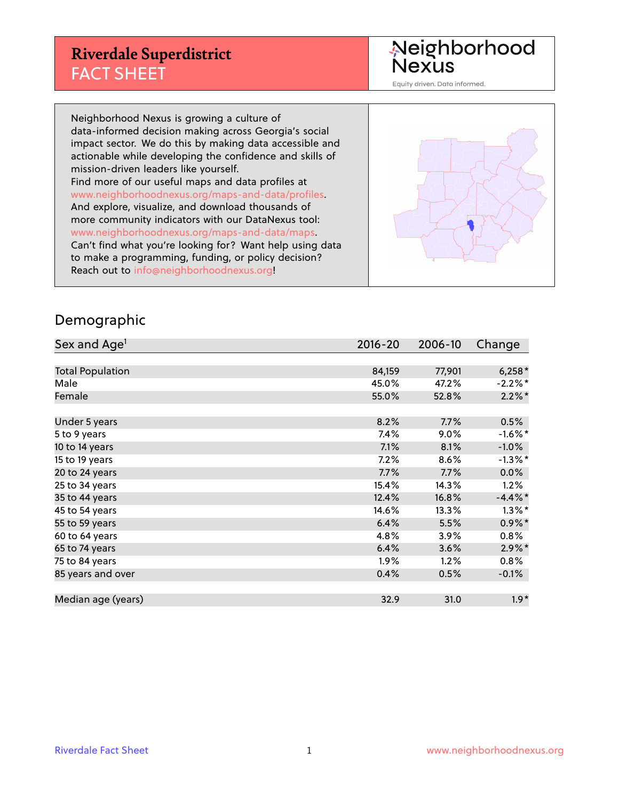## **Riverdale Superdistrict** FACT SHEET

Neighborhood<br>Nexus

Equity driven. Data informed.

Neighborhood Nexus is growing a culture of data-informed decision making across Georgia's social impact sector. We do this by making data accessible and actionable while developing the confidence and skills of mission-driven leaders like yourself. Find more of our useful maps and data profiles at www.neighborhoodnexus.org/maps-and-data/profiles. And explore, visualize, and download thousands of more community indicators with our DataNexus tool: www.neighborhoodnexus.org/maps-and-data/maps. Can't find what you're looking for? Want help using data to make a programming, funding, or policy decision? Reach out to [info@neighborhoodnexus.org!](mailto:info@neighborhoodnexus.org)



#### Demographic

| Sex and Age <sup>1</sup> | $2016 - 20$ | 2006-10 | Change     |
|--------------------------|-------------|---------|------------|
|                          |             |         |            |
| <b>Total Population</b>  | 84,159      | 77,901  | $6,258*$   |
| Male                     | 45.0%       | 47.2%   | $-2.2%$ *  |
| Female                   | 55.0%       | 52.8%   | $2.2\%$ *  |
|                          |             |         |            |
| Under 5 years            | 8.2%        | 7.7%    | 0.5%       |
| 5 to 9 years             | 7.4%        | $9.0\%$ | $-1.6\%$ * |
| 10 to 14 years           | 7.1%        | 8.1%    | $-1.0%$    |
| 15 to 19 years           | 7.2%        | 8.6%    | $-1.3%$ *  |
| 20 to 24 years           | 7.7%        | 7.7%    | 0.0%       |
| 25 to 34 years           | 15.4%       | 14.3%   | 1.2%       |
| 35 to 44 years           | 12.4%       | 16.8%   | $-4.4\%$ * |
| 45 to 54 years           | 14.6%       | 13.3%   | $1.3\%$ *  |
| 55 to 59 years           | 6.4%        | 5.5%    | $0.9\%$ *  |
| 60 to 64 years           | 4.8%        | 3.9%    | $0.8\%$    |
| 65 to 74 years           | 6.4%        | 3.6%    | $2.9\%$ *  |
| 75 to 84 years           | $1.9\%$     | 1.2%    | $0.8\%$    |
| 85 years and over        | 0.4%        | 0.5%    | $-0.1\%$   |
|                          |             |         |            |
| Median age (years)       | 32.9        | 31.0    | $1.9*$     |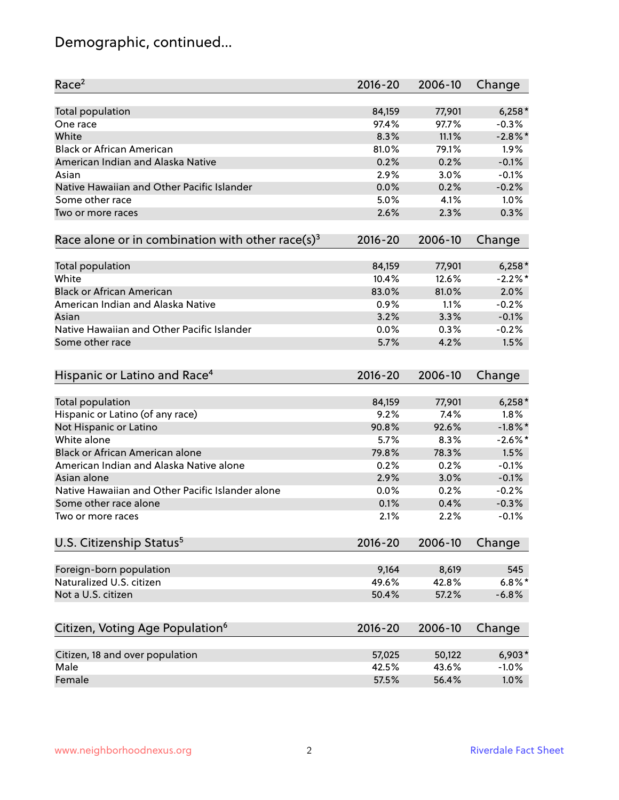## Demographic, continued...

| Race <sup>2</sup>                                            | $2016 - 20$ | 2006-10 | Change     |
|--------------------------------------------------------------|-------------|---------|------------|
| <b>Total population</b>                                      | 84,159      | 77,901  | $6,258*$   |
| One race                                                     | 97.4%       | 97.7%   | $-0.3%$    |
| White                                                        | 8.3%        | 11.1%   | $-2.8\%$ * |
| <b>Black or African American</b>                             | 81.0%       | 79.1%   | 1.9%       |
| American Indian and Alaska Native                            | 0.2%        | 0.2%    | $-0.1%$    |
| Asian                                                        | 2.9%        | 3.0%    | $-0.1%$    |
| Native Hawaiian and Other Pacific Islander                   | 0.0%        | 0.2%    | $-0.2%$    |
| Some other race                                              | 5.0%        | 4.1%    | 1.0%       |
| Two or more races                                            | 2.6%        | 2.3%    | 0.3%       |
|                                                              |             |         |            |
| Race alone or in combination with other race(s) <sup>3</sup> | $2016 - 20$ | 2006-10 | Change     |
| <b>Total population</b>                                      | 84,159      | 77,901  | $6,258*$   |
| White                                                        | 10.4%       | 12.6%   | $-2.2%$ *  |
| <b>Black or African American</b>                             | 83.0%       | 81.0%   | 2.0%       |
| American Indian and Alaska Native                            | 0.9%        | 1.1%    | $-0.2%$    |
| Asian                                                        | 3.2%        | 3.3%    | $-0.1%$    |
| Native Hawaiian and Other Pacific Islander                   | 0.0%        | 0.3%    | $-0.2%$    |
| Some other race                                              | 5.7%        | 4.2%    | 1.5%       |
|                                                              |             |         |            |
| Hispanic or Latino and Race <sup>4</sup>                     | $2016 - 20$ | 2006-10 | Change     |
| <b>Total population</b>                                      | 84,159      | 77,901  | $6,258*$   |
| Hispanic or Latino (of any race)                             | 9.2%        | 7.4%    | 1.8%       |
| Not Hispanic or Latino                                       | 90.8%       | 92.6%   | $-1.8\%$ * |
| White alone                                                  | 5.7%        | 8.3%    | $-2.6\%$ * |
| Black or African American alone                              | 79.8%       | 78.3%   | 1.5%       |
| American Indian and Alaska Native alone                      | 0.2%        | 0.2%    | $-0.1%$    |
| Asian alone                                                  | 2.9%        | 3.0%    | $-0.1%$    |
| Native Hawaiian and Other Pacific Islander alone             | 0.0%        | 0.2%    | $-0.2%$    |
| Some other race alone                                        | 0.1%        | 0.4%    | $-0.3%$    |
| Two or more races                                            | 2.1%        | 2.2%    | $-0.1%$    |
|                                                              |             |         |            |
| U.S. Citizenship Status <sup>5</sup>                         | $2016 - 20$ | 2006-10 | Change     |
| Foreign-born population                                      | 9,164       | 8,619   | 545        |
| Naturalized U.S. citizen                                     | 49.6%       | 42.8%   | $6.8\%$ *  |
| Not a U.S. citizen                                           | 50.4%       | 57.2%   | $-6.8%$    |
|                                                              |             |         |            |
| Citizen, Voting Age Population <sup>6</sup>                  | 2016-20     | 2006-10 | Change     |
| Citizen, 18 and over population                              | 57,025      | 50,122  | $6,903*$   |
| Male                                                         | 42.5%       | 43.6%   | $-1.0%$    |
| Female                                                       | 57.5%       | 56.4%   | 1.0%       |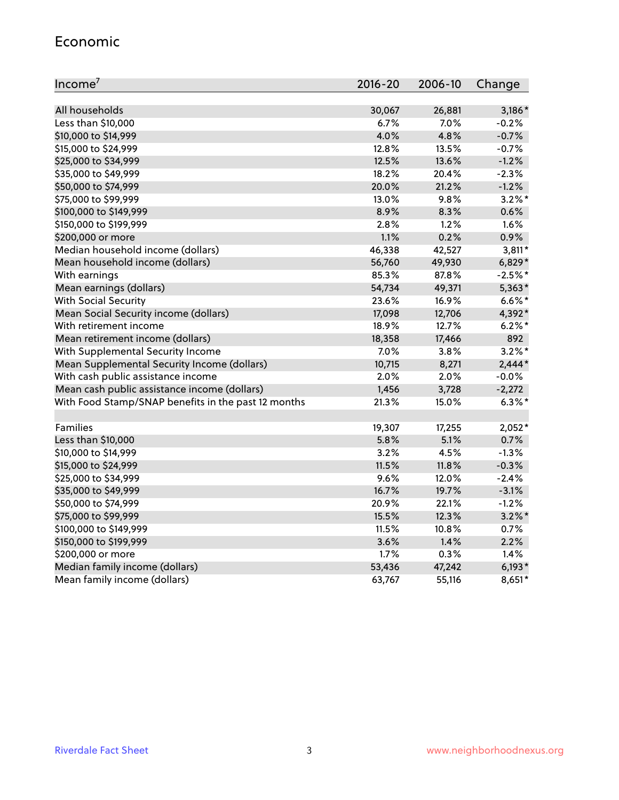#### Economic

| Income <sup>7</sup>                                 | $2016 - 20$ | 2006-10 | Change    |
|-----------------------------------------------------|-------------|---------|-----------|
|                                                     |             |         |           |
| All households                                      | 30,067      | 26,881  | $3,186*$  |
| Less than \$10,000                                  | 6.7%        | 7.0%    | $-0.2%$   |
| \$10,000 to \$14,999                                | 4.0%        | 4.8%    | $-0.7%$   |
| \$15,000 to \$24,999                                | 12.8%       | 13.5%   | $-0.7%$   |
| \$25,000 to \$34,999                                | 12.5%       | 13.6%   | $-1.2%$   |
| \$35,000 to \$49,999                                | 18.2%       | 20.4%   | $-2.3%$   |
| \$50,000 to \$74,999                                | 20.0%       | 21.2%   | $-1.2%$   |
| \$75,000 to \$99,999                                | 13.0%       | 9.8%    | $3.2\%$ * |
| \$100,000 to \$149,999                              | 8.9%        | 8.3%    | 0.6%      |
| \$150,000 to \$199,999                              | 2.8%        | 1.2%    | 1.6%      |
| \$200,000 or more                                   | 1.1%        | 0.2%    | 0.9%      |
| Median household income (dollars)                   | 46,338      | 42,527  | $3,811*$  |
| Mean household income (dollars)                     | 56,760      | 49,930  | $6,829*$  |
| With earnings                                       | 85.3%       | 87.8%   | $-2.5%$ * |
| Mean earnings (dollars)                             | 54,734      | 49,371  | $5,363*$  |
| <b>With Social Security</b>                         | 23.6%       | 16.9%   | $6.6\%$ * |
| Mean Social Security income (dollars)               | 17,098      | 12,706  | 4,392*    |
| With retirement income                              | 18.9%       | 12.7%   | $6.2\%$ * |
| Mean retirement income (dollars)                    | 18,358      | 17,466  | 892       |
| With Supplemental Security Income                   | 7.0%        | $3.8\%$ | $3.2\%$ * |
| Mean Supplemental Security Income (dollars)         | 10,715      | 8,271   | $2,444*$  |
| With cash public assistance income                  | 2.0%        | 2.0%    | $-0.0%$   |
| Mean cash public assistance income (dollars)        | 1,456       | 3,728   | $-2,272$  |
| With Food Stamp/SNAP benefits in the past 12 months | 21.3%       | 15.0%   | $6.3\%$ * |
|                                                     |             |         |           |
| Families                                            | 19,307      | 17,255  | $2,052*$  |
| Less than \$10,000                                  | 5.8%        | 5.1%    | 0.7%      |
| \$10,000 to \$14,999                                | 3.2%        | 4.5%    | $-1.3%$   |
| \$15,000 to \$24,999                                | 11.5%       | 11.8%   | $-0.3%$   |
| \$25,000 to \$34,999                                | 9.6%        | 12.0%   | $-2.4%$   |
| \$35,000 to \$49,999                                | 16.7%       | 19.7%   | $-3.1%$   |
| \$50,000 to \$74,999                                | 20.9%       | 22.1%   | $-1.2%$   |
| \$75,000 to \$99,999                                | 15.5%       | 12.3%   | $3.2\%$ * |
| \$100,000 to \$149,999                              | 11.5%       | 10.8%   | 0.7%      |
| \$150,000 to \$199,999                              | 3.6%        | 1.4%    | 2.2%      |
| \$200,000 or more                                   | 1.7%        | 0.3%    | 1.4%      |
| Median family income (dollars)                      | 53,436      | 47,242  | $6,193*$  |
| Mean family income (dollars)                        | 63,767      | 55,116  | $8,651*$  |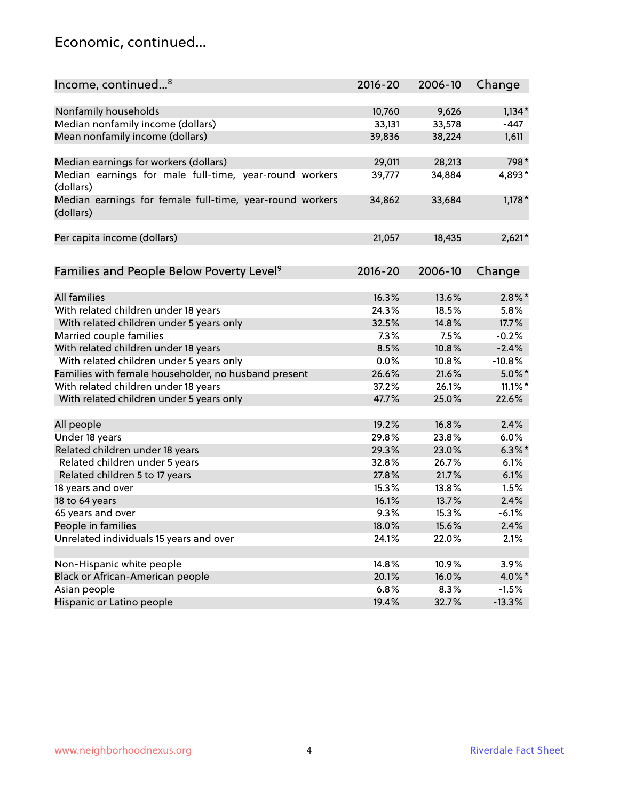#### Economic, continued...

| Income, continued <sup>8</sup>                                        | $2016 - 20$ | 2006-10 | Change     |
|-----------------------------------------------------------------------|-------------|---------|------------|
|                                                                       |             |         |            |
| Nonfamily households                                                  | 10,760      | 9,626   | $1,134*$   |
| Median nonfamily income (dollars)                                     | 33,131      | 33,578  | $-447$     |
| Mean nonfamily income (dollars)                                       | 39,836      | 38,224  | 1,611      |
| Median earnings for workers (dollars)                                 | 29,011      | 28,213  | 798*       |
| Median earnings for male full-time, year-round workers                | 39,777      | 34,884  | 4,893*     |
| (dollars)                                                             |             |         |            |
| Median earnings for female full-time, year-round workers<br>(dollars) | 34,862      | 33,684  | $1,178*$   |
| Per capita income (dollars)                                           | 21,057      | 18,435  | $2,621*$   |
|                                                                       |             |         |            |
| Families and People Below Poverty Level <sup>9</sup>                  | 2016-20     | 2006-10 | Change     |
|                                                                       |             |         |            |
| All families                                                          | 16.3%       | 13.6%   | $2.8\%$ *  |
| With related children under 18 years                                  | 24.3%       | 18.5%   | 5.8%       |
| With related children under 5 years only                              | 32.5%       | 14.8%   | 17.7%      |
| Married couple families                                               | 7.3%        | 7.5%    | $-0.2%$    |
| With related children under 18 years                                  | 8.5%        | 10.8%   | $-2.4%$    |
| With related children under 5 years only                              | 0.0%        | 10.8%   | $-10.8%$   |
| Families with female householder, no husband present                  | 26.6%       | 21.6%   | $5.0\%$ *  |
| With related children under 18 years                                  | 37.2%       | 26.1%   | $11.1\%$ * |
| With related children under 5 years only                              | 47.7%       | 25.0%   | 22.6%      |
| All people                                                            | 19.2%       | 16.8%   | 2.4%       |
| Under 18 years                                                        | 29.8%       | 23.8%   | 6.0%       |
| Related children under 18 years                                       | 29.3%       | 23.0%   | $6.3\%$ *  |
| Related children under 5 years                                        | 32.8%       | 26.7%   | 6.1%       |
| Related children 5 to 17 years                                        | 27.8%       | 21.7%   | 6.1%       |
| 18 years and over                                                     | 15.3%       | 13.8%   | 1.5%       |
| 18 to 64 years                                                        | 16.1%       | 13.7%   | 2.4%       |
| 65 years and over                                                     | 9.3%        | 15.3%   | $-6.1%$    |
| People in families                                                    | 18.0%       | 15.6%   | 2.4%       |
| Unrelated individuals 15 years and over                               | 24.1%       | 22.0%   | 2.1%       |
|                                                                       |             |         |            |
| Non-Hispanic white people                                             | 14.8%       | 10.9%   | 3.9%       |
| Black or African-American people                                      | 20.1%       | 16.0%   | 4.0%*      |
| Asian people                                                          | 6.8%        | 8.3%    | $-1.5%$    |
| Hispanic or Latino people                                             | 19.4%       | 32.7%   | $-13.3%$   |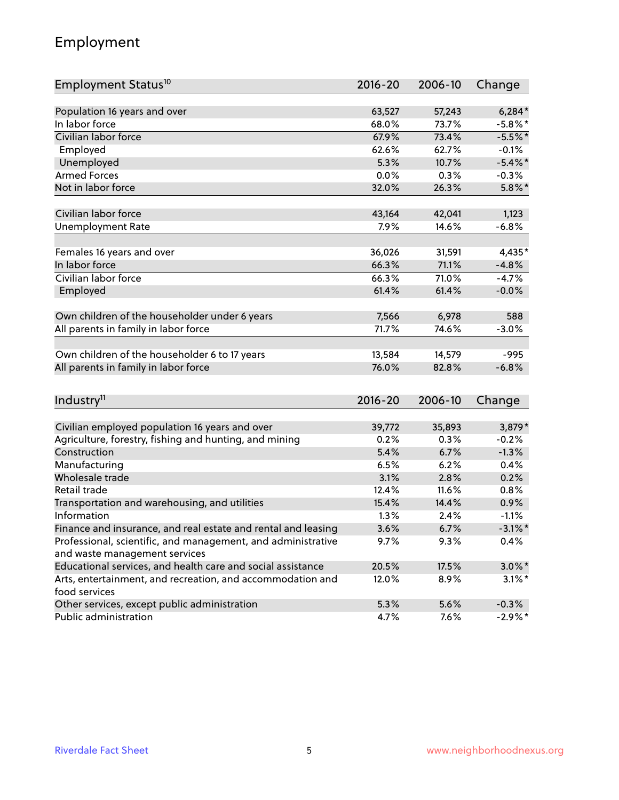## Employment

| Employment Status <sup>10</sup>                                                               | $2016 - 20$ | 2006-10 | Change     |
|-----------------------------------------------------------------------------------------------|-------------|---------|------------|
|                                                                                               |             |         |            |
| Population 16 years and over                                                                  | 63,527      | 57,243  | $6,284*$   |
| In labor force                                                                                | 68.0%       | 73.7%   | $-5.8\%$ * |
| Civilian labor force                                                                          | 67.9%       | 73.4%   | $-5.5%$ *  |
| Employed                                                                                      | 62.6%       | 62.7%   | $-0.1%$    |
| Unemployed                                                                                    | 5.3%        | 10.7%   | $-5.4\%$ * |
| <b>Armed Forces</b>                                                                           | 0.0%        | 0.3%    | $-0.3%$    |
| Not in labor force                                                                            | 32.0%       | 26.3%   | $5.8\%$ *  |
| Civilian labor force                                                                          | 43,164      | 42,041  | 1,123      |
| <b>Unemployment Rate</b>                                                                      | 7.9%        | 14.6%   | $-6.8%$    |
|                                                                                               |             |         |            |
| Females 16 years and over                                                                     | 36,026      | 31,591  | 4,435*     |
| In labor force                                                                                | 66.3%       | 71.1%   | $-4.8%$    |
| Civilian labor force                                                                          | 66.3%       | 71.0%   | $-4.7%$    |
| Employed                                                                                      | 61.4%       | 61.4%   | $-0.0%$    |
| Own children of the householder under 6 years                                                 | 7,566       | 6,978   | 588        |
| All parents in family in labor force                                                          | 71.7%       | 74.6%   | $-3.0%$    |
|                                                                                               |             |         |            |
| Own children of the householder 6 to 17 years                                                 | 13,584      | 14,579  | $-995$     |
| All parents in family in labor force                                                          | 76.0%       | 82.8%   | $-6.8%$    |
|                                                                                               |             |         |            |
| Industry <sup>11</sup>                                                                        | $2016 - 20$ | 2006-10 | Change     |
| Civilian employed population 16 years and over                                                | 39,772      | 35,893  | 3,879*     |
| Agriculture, forestry, fishing and hunting, and mining                                        | 0.2%        | 0.3%    | $-0.2%$    |
| Construction                                                                                  | 5.4%        | 6.7%    | $-1.3%$    |
| Manufacturing                                                                                 | 6.5%        | 6.2%    | 0.4%       |
| Wholesale trade                                                                               | 3.1%        | 2.8%    | 0.2%       |
| Retail trade                                                                                  | 12.4%       | 11.6%   | 0.8%       |
| Transportation and warehousing, and utilities                                                 | 15.4%       | 14.4%   | 0.9%       |
| Information                                                                                   | 1.3%        | 2.4%    | $-1.1%$    |
| Finance and insurance, and real estate and rental and leasing                                 | 3.6%        | 6.7%    | $-3.1\%$ * |
|                                                                                               |             |         |            |
| Professional, scientific, and management, and administrative<br>and waste management services | 9.7%        | 9.3%    | 0.4%       |
| Educational services, and health care and social assistance                                   | 20.5%       | 17.5%   | $3.0\%$ *  |
| Arts, entertainment, and recreation, and accommodation and                                    | 12.0%       | 8.9%    | $3.1\%$ *  |
| food services                                                                                 |             |         |            |
| Other services, except public administration                                                  | 5.3%        | 5.6%    | $-0.3%$    |
| Public administration                                                                         | 4.7%        | 7.6%    | $-2.9%$ *  |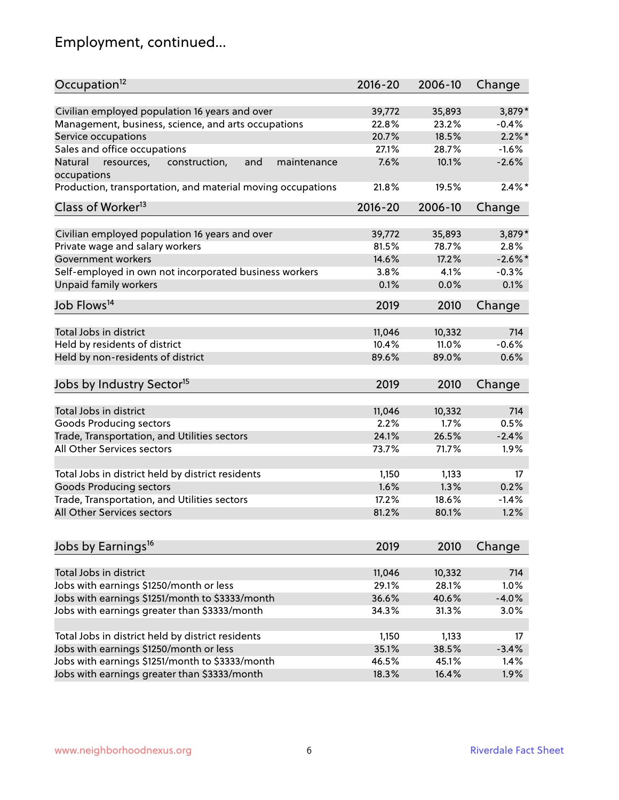## Employment, continued...

| Occupation <sup>12</sup>                                                    | $2016 - 20$ | 2006-10 | Change    |
|-----------------------------------------------------------------------------|-------------|---------|-----------|
| Civilian employed population 16 years and over                              | 39,772      | 35,893  | 3,879*    |
| Management, business, science, and arts occupations                         | 22.8%       | 23.2%   | $-0.4%$   |
| Service occupations                                                         | 20.7%       | 18.5%   | $2.2\%$ * |
| Sales and office occupations                                                | 27.1%       | 28.7%   | $-1.6%$   |
|                                                                             |             |         | $-2.6%$   |
| Natural<br>and<br>resources,<br>construction,<br>maintenance<br>occupations | 7.6%        | 10.1%   |           |
| Production, transportation, and material moving occupations                 | 21.8%       | 19.5%   | $2.4\%$ * |
| Class of Worker <sup>13</sup>                                               | $2016 - 20$ | 2006-10 | Change    |
| Civilian employed population 16 years and over                              | 39,772      | 35,893  | 3,879*    |
|                                                                             | 81.5%       | 78.7%   | 2.8%      |
| Private wage and salary workers                                             |             |         |           |
| Government workers                                                          | 14.6%       | 17.2%   | $-2.6\%$  |
| Self-employed in own not incorporated business workers                      | 3.8%        | 4.1%    | $-0.3%$   |
| Unpaid family workers                                                       | 0.1%        | 0.0%    | 0.1%      |
| Job Flows <sup>14</sup>                                                     | 2019        | 2010    | Change    |
|                                                                             |             |         |           |
| Total Jobs in district                                                      | 11,046      | 10,332  | 714       |
| Held by residents of district                                               | 10.4%       | 11.0%   | $-0.6%$   |
| Held by non-residents of district                                           | 89.6%       | 89.0%   | 0.6%      |
| Jobs by Industry Sector <sup>15</sup>                                       | 2019        | 2010    | Change    |
|                                                                             |             |         | 714       |
| Total Jobs in district                                                      | 11,046      | 10,332  |           |
| Goods Producing sectors                                                     | 2.2%        | 1.7%    | 0.5%      |
| Trade, Transportation, and Utilities sectors                                | 24.1%       | 26.5%   | $-2.4%$   |
| All Other Services sectors                                                  | 73.7%       | 71.7%   | 1.9%      |
| Total Jobs in district held by district residents                           | 1,150       | 1,133   | 17        |
| <b>Goods Producing sectors</b>                                              | 1.6%        | 1.3%    | 0.2%      |
| Trade, Transportation, and Utilities sectors                                | 17.2%       | 18.6%   | $-1.4%$   |
| All Other Services sectors                                                  | 81.2%       | 80.1%   | 1.2%      |
|                                                                             |             |         |           |
| Jobs by Earnings <sup>16</sup>                                              | 2019        | 2010    | Change    |
|                                                                             |             |         |           |
| Total Jobs in district                                                      | 11,046      | 10,332  | 714       |
| Jobs with earnings \$1250/month or less                                     | 29.1%       | 28.1%   | 1.0%      |
| Jobs with earnings \$1251/month to \$3333/month                             | 36.6%       | 40.6%   | $-4.0%$   |
| Jobs with earnings greater than \$3333/month                                | 34.3%       | 31.3%   | 3.0%      |
| Total Jobs in district held by district residents                           | 1,150       | 1,133   | 17        |
| Jobs with earnings \$1250/month or less                                     | 35.1%       | 38.5%   | $-3.4%$   |
| Jobs with earnings \$1251/month to \$3333/month                             | 46.5%       | 45.1%   | 1.4%      |
| Jobs with earnings greater than \$3333/month                                | 18.3%       | 16.4%   | 1.9%      |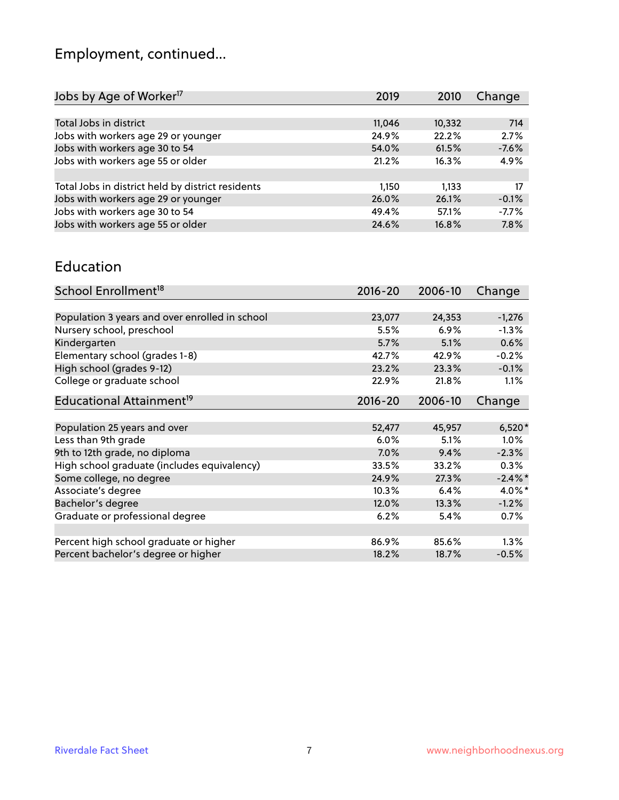# Employment, continued...

| 2019   | 2010   | Change  |
|--------|--------|---------|
|        |        |         |
| 11,046 | 10,332 | 714     |
| 24.9%  | 22.2%  | 2.7%    |
| 54.0%  | 61.5%  | $-7.6%$ |
| 21.2%  | 16.3%  | 4.9%    |
|        |        |         |
| 1,150  | 1.133  | 17      |
| 26.0%  | 26.1%  | $-0.1%$ |
| 49.4%  | 57.1%  | $-7.7%$ |
| 24.6%  | 16.8%  | 7.8%    |
|        |        |         |

#### Education

| School Enrollment <sup>18</sup>                | $2016 - 20$ | 2006-10 | Change    |
|------------------------------------------------|-------------|---------|-----------|
|                                                |             |         |           |
| Population 3 years and over enrolled in school | 23,077      | 24,353  | $-1,276$  |
| Nursery school, preschool                      | 5.5%        | $6.9\%$ | $-1.3%$   |
| Kindergarten                                   | 5.7%        | 5.1%    | 0.6%      |
| Elementary school (grades 1-8)                 | 42.7%       | 42.9%   | $-0.2%$   |
| High school (grades 9-12)                      | 23.2%       | 23.3%   | $-0.1%$   |
| College or graduate school                     | 22.9%       | 21.8%   | 1.1%      |
| Educational Attainment <sup>19</sup>           | $2016 - 20$ | 2006-10 | Change    |
|                                                |             |         |           |
| Population 25 years and over                   | 52,477      | 45,957  | $6,520*$  |
| Less than 9th grade                            | 6.0%        | 5.1%    | $1.0\%$   |
| 9th to 12th grade, no diploma                  | 7.0%        | 9.4%    | $-2.3%$   |
| High school graduate (includes equivalency)    | 33.5%       | 33.2%   | $0.3\%$   |
| Some college, no degree                        | 24.9%       | 27.3%   | $-2.4\%$  |
| Associate's degree                             | 10.3%       | 6.4%    | $4.0\%$ * |
| Bachelor's degree                              | 12.0%       | 13.3%   | $-1.2%$   |
| Graduate or professional degree                | 6.2%        | 5.4%    | 0.7%      |
|                                                |             |         |           |
| Percent high school graduate or higher         | 86.9%       | 85.6%   | $1.3\%$   |
| Percent bachelor's degree or higher            | 18.2%       | 18.7%   | $-0.5%$   |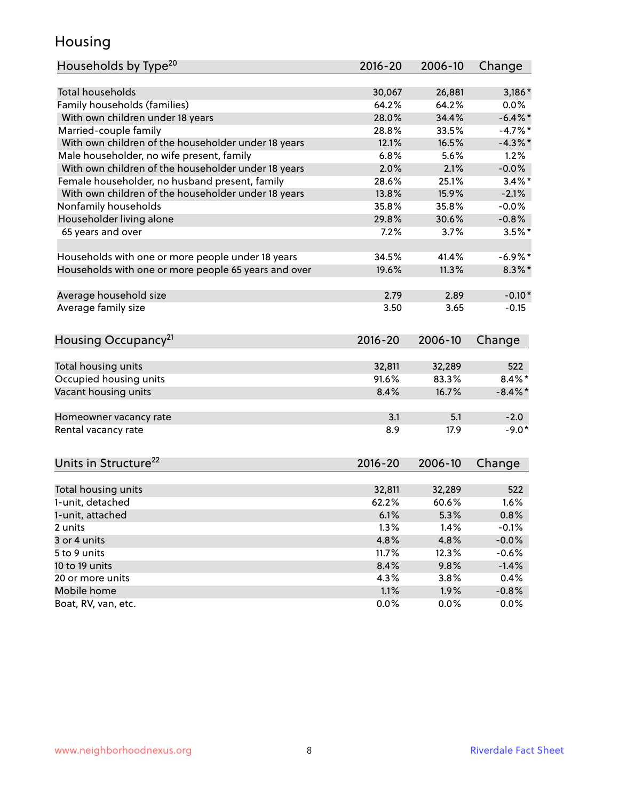#### Housing

| Households by Type <sup>20</sup>                     | 2016-20     | 2006-10 | Change     |
|------------------------------------------------------|-------------|---------|------------|
|                                                      |             |         |            |
| <b>Total households</b>                              | 30,067      | 26,881  | $3,186*$   |
| Family households (families)                         | 64.2%       | 64.2%   | 0.0%       |
| With own children under 18 years                     | 28.0%       | 34.4%   | $-6.4\%$ * |
| Married-couple family                                | 28.8%       | 33.5%   | $-4.7%$ *  |
| With own children of the householder under 18 years  | 12.1%       | 16.5%   | $-4.3\%$ * |
| Male householder, no wife present, family            | 6.8%        | 5.6%    | 1.2%       |
| With own children of the householder under 18 years  | 2.0%        | 2.1%    | $-0.0%$    |
| Female householder, no husband present, family       | 28.6%       | 25.1%   | $3.4\%$ *  |
| With own children of the householder under 18 years  | 13.8%       | 15.9%   | $-2.1%$    |
| Nonfamily households                                 | 35.8%       | 35.8%   | $-0.0%$    |
| Householder living alone                             | 29.8%       | 30.6%   | $-0.8%$    |
| 65 years and over                                    | 7.2%        | 3.7%    | $3.5%$ *   |
|                                                      |             |         |            |
| Households with one or more people under 18 years    | 34.5%       | 41.4%   | $-6.9\%$ * |
| Households with one or more people 65 years and over | 19.6%       | 11.3%   | $8.3\%$ *  |
|                                                      |             |         |            |
| Average household size                               | 2.79        | 2.89    | $-0.10*$   |
| Average family size                                  | 3.50        | 3.65    | $-0.15$    |
| Housing Occupancy <sup>21</sup>                      | $2016 - 20$ | 2006-10 | Change     |
|                                                      |             |         |            |
| Total housing units                                  | 32,811      | 32,289  | 522        |
| Occupied housing units                               | 91.6%       | 83.3%   | $8.4\%$ *  |
| Vacant housing units                                 | 8.4%        | 16.7%   | $-8.4\%$ * |
|                                                      |             |         |            |
| Homeowner vacancy rate                               | 3.1         | 5.1     | $-2.0$     |
| Rental vacancy rate                                  | 8.9         | 17.9    | $-9.0*$    |
|                                                      |             |         |            |
| Units in Structure <sup>22</sup>                     | $2016 - 20$ | 2006-10 | Change     |
|                                                      |             |         |            |
| Total housing units                                  | 32,811      | 32,289  | 522        |
| 1-unit, detached                                     | 62.2%       | 60.6%   | 1.6%       |
| 1-unit, attached                                     | 6.1%        | 5.3%    | 0.8%       |
| 2 units                                              | 1.3%        | 1.4%    | $-0.1%$    |
| 3 or 4 units                                         | 4.8%        | 4.8%    | $-0.0%$    |
| 5 to 9 units                                         | 11.7%       | 12.3%   | $-0.6%$    |
| 10 to 19 units                                       | 8.4%        | 9.8%    | $-1.4%$    |
| 20 or more units                                     | 4.3%        | 3.8%    | 0.4%       |
| Mobile home                                          | 1.1%        | 1.9%    | $-0.8%$    |
| Boat, RV, van, etc.                                  | 0.0%        | 0.0%    | 0.0%       |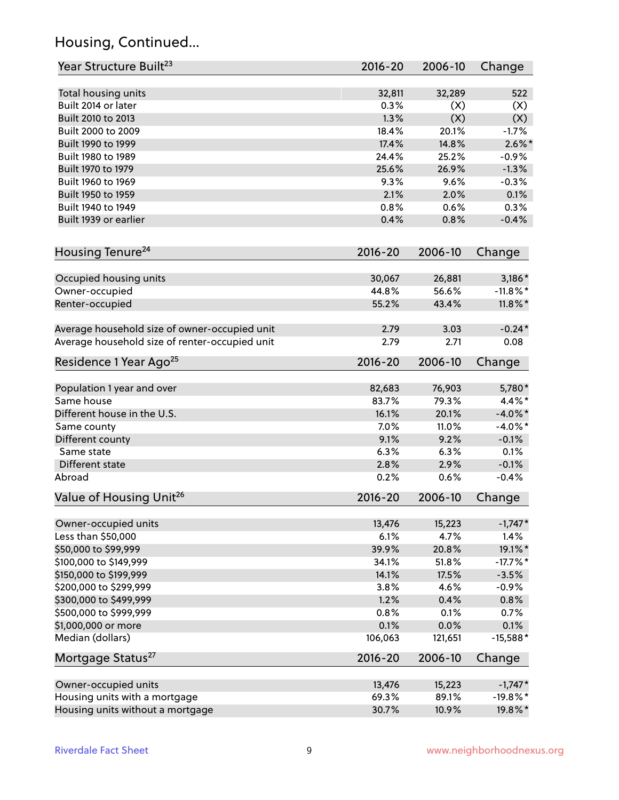## Housing, Continued...

| Year Structure Built <sup>23</sup>             | 2016-20     | 2006-10 | Change      |
|------------------------------------------------|-------------|---------|-------------|
| Total housing units                            | 32,811      | 32,289  | 522         |
| Built 2014 or later                            | 0.3%        | (X)     | (X)         |
| Built 2010 to 2013                             | 1.3%        | (X)     | (X)         |
| Built 2000 to 2009                             | 18.4%       | 20.1%   | $-1.7%$     |
| Built 1990 to 1999                             | 17.4%       | 14.8%   | $2.6\%$ *   |
| Built 1980 to 1989                             | 24.4%       | 25.2%   | $-0.9%$     |
| Built 1970 to 1979                             | 25.6%       | 26.9%   | $-1.3%$     |
| Built 1960 to 1969                             | 9.3%        | 9.6%    | $-0.3%$     |
| Built 1950 to 1959                             | 2.1%        | 2.0%    | 0.1%        |
| Built 1940 to 1949                             | 0.8%        | 0.6%    | 0.3%        |
| Built 1939 or earlier                          | 0.4%        | 0.8%    | $-0.4%$     |
|                                                |             |         |             |
| Housing Tenure <sup>24</sup>                   | $2016 - 20$ | 2006-10 | Change      |
| Occupied housing units                         | 30,067      | 26,881  | $3,186*$    |
| Owner-occupied                                 | 44.8%       | 56.6%   | $-11.8\%$ * |
| Renter-occupied                                | 55.2%       | 43.4%   | $11.8\%$ *  |
| Average household size of owner-occupied unit  | 2.79        | 3.03    | $-0.24*$    |
| Average household size of renter-occupied unit | 2.79        | 2.71    | 0.08        |
| Residence 1 Year Ago <sup>25</sup>             | 2016-20     | 2006-10 | Change      |
|                                                |             |         |             |
| Population 1 year and over                     | 82,683      | 76,903  | 5,780*      |
| Same house                                     | 83.7%       | 79.3%   | 4.4%*       |
| Different house in the U.S.                    | 16.1%       | 20.1%   | $-4.0\%$ *  |
| Same county                                    | 7.0%        | 11.0%   | $-4.0\%$ *  |
| Different county                               | 9.1%        | 9.2%    | $-0.1%$     |
| Same state                                     | 6.3%        | 6.3%    | 0.1%        |
| Different state                                | 2.8%        | 2.9%    | $-0.1%$     |
| Abroad                                         | 0.2%        | 0.6%    | $-0.4%$     |
| Value of Housing Unit <sup>26</sup>            | $2016 - 20$ | 2006-10 | Change      |
|                                                |             |         |             |
| Owner-occupied units                           | 13,476      | 15,223  | $-1,747*$   |
| Less than \$50,000                             | 6.1%        | 4.7%    | 1.4%        |
| \$50,000 to \$99,999                           | 39.9%       | 20.8%   | 19.1%*      |
| \$100,000 to \$149,999                         | 34.1%       | 51.8%   | $-17.7\%$ * |
| \$150,000 to \$199,999                         | 14.1%       | 17.5%   | $-3.5%$     |
| \$200,000 to \$299,999                         | 3.8%        | 4.6%    | $-0.9%$     |
| \$300,000 to \$499,999                         | 1.2%        | 0.4%    | 0.8%        |
| \$500,000 to \$999,999                         | 0.8%        | 0.1%    | 0.7%        |
| \$1,000,000 or more                            | 0.1%        | 0.0%    | 0.1%        |
| Median (dollars)                               | 106,063     | 121,651 | $-15,588*$  |
| Mortgage Status <sup>27</sup>                  | 2016-20     | 2006-10 | Change      |
| Owner-occupied units                           | 13,476      | 15,223  | $-1,747*$   |
| Housing units with a mortgage                  | 69.3%       | 89.1%   | $-19.8\%$ * |
| Housing units without a mortgage               | 30.7%       | 10.9%   | 19.8%*      |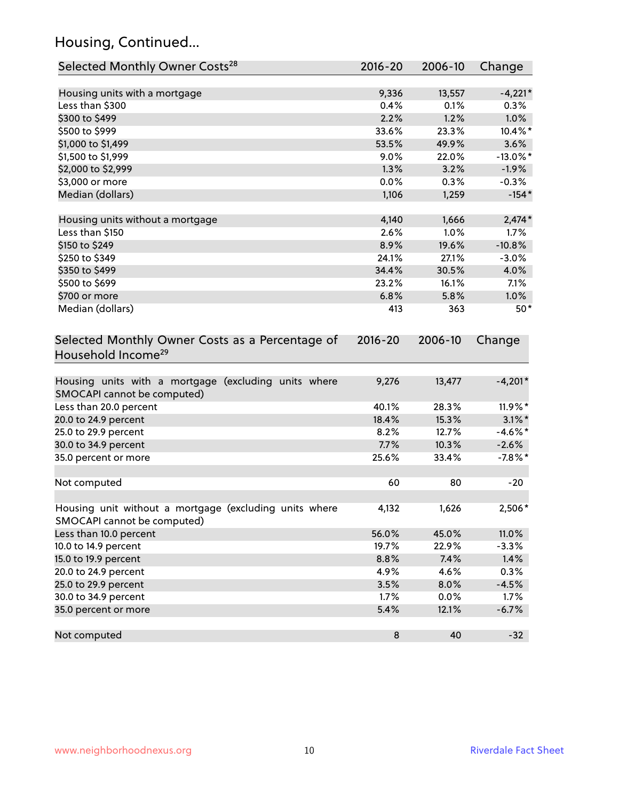## Housing, Continued...

| Selected Monthly Owner Costs <sup>28</sup>                                            | 2016-20 | 2006-10 | Change      |
|---------------------------------------------------------------------------------------|---------|---------|-------------|
| Housing units with a mortgage                                                         | 9,336   | 13,557  | $-4,221*$   |
| Less than \$300                                                                       | 0.4%    | 0.1%    | 0.3%        |
| \$300 to \$499                                                                        | 2.2%    | 1.2%    | 1.0%        |
| \$500 to \$999                                                                        | 33.6%   | 23.3%   | 10.4%*      |
| \$1,000 to \$1,499                                                                    | 53.5%   | 49.9%   | 3.6%        |
| \$1,500 to \$1,999                                                                    | 9.0%    | 22.0%   | $-13.0\%$ * |
| \$2,000 to \$2,999                                                                    | 1.3%    | 3.2%    | $-1.9%$     |
| \$3,000 or more                                                                       | 0.0%    | 0.3%    | $-0.3%$     |
| Median (dollars)                                                                      | 1,106   | 1,259   | $-154*$     |
| Housing units without a mortgage                                                      | 4,140   | 1,666   | $2,474*$    |
| Less than \$150                                                                       | 2.6%    | 1.0%    | 1.7%        |
| \$150 to \$249                                                                        | 8.9%    | 19.6%   | $-10.8%$    |
| \$250 to \$349                                                                        | 24.1%   | 27.1%   | $-3.0%$     |
| \$350 to \$499                                                                        | 34.4%   | 30.5%   | 4.0%        |
| \$500 to \$699                                                                        | 23.2%   | 16.1%   | 7.1%        |
| \$700 or more                                                                         | 6.8%    | 5.8%    | 1.0%        |
| Median (dollars)                                                                      | 413     | 363     | $50*$       |
| Selected Monthly Owner Costs as a Percentage of<br>Household Income <sup>29</sup>     |         |         | Change      |
| Housing units with a mortgage (excluding units where<br>SMOCAPI cannot be computed)   | 9,276   | 13,477  | $-4,201*$   |
| Less than 20.0 percent                                                                | 40.1%   | 28.3%   | 11.9%*      |
| 20.0 to 24.9 percent                                                                  | 18.4%   | 15.3%   | $3.1\%$ *   |
| 25.0 to 29.9 percent                                                                  | 8.2%    | 12.7%   | $-4.6\%$ *  |
| 30.0 to 34.9 percent                                                                  | 7.7%    | 10.3%   | $-2.6%$     |
| 35.0 percent or more                                                                  | 25.6%   | 33.4%   | $-7.8%$ *   |
| Not computed                                                                          | 60      | 80      | $-20$       |
| Housing unit without a mortgage (excluding units where<br>SMOCAPI cannot be computed) | 4,132   | 1,626   | 2,506*      |
| Less than 10.0 percent                                                                | 56.0%   | 45.0%   | 11.0%       |
| 10.0 to 14.9 percent                                                                  | 19.7%   | 22.9%   | $-3.3%$     |
| 15.0 to 19.9 percent                                                                  | 8.8%    | 7.4%    | 1.4%        |
| 20.0 to 24.9 percent                                                                  | 4.9%    | 4.6%    | 0.3%        |
| 25.0 to 29.9 percent                                                                  | 3.5%    | 8.0%    | $-4.5%$     |
| 30.0 to 34.9 percent                                                                  | 1.7%    | 0.0%    | 1.7%        |
| 35.0 percent or more                                                                  | 5.4%    | 12.1%   | $-6.7%$     |
| Not computed                                                                          | $\bf 8$ | 40      | $-32$       |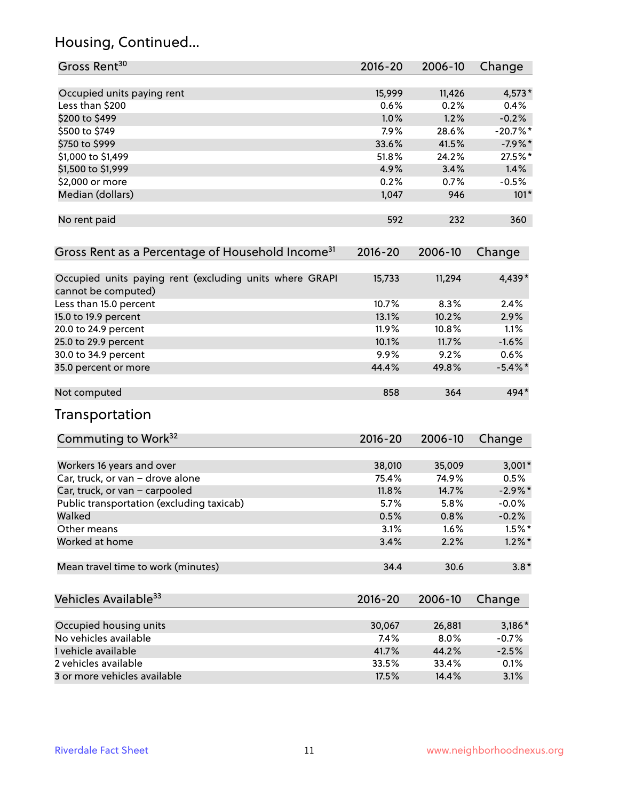## Housing, Continued...

| Gross Rent <sup>30</sup>                                                       | 2016-20     | 2006-10 | Change     |
|--------------------------------------------------------------------------------|-------------|---------|------------|
| Occupied units paying rent                                                     | 15,999      | 11,426  | 4,573*     |
| Less than \$200                                                                | 0.6%        | 0.2%    | 0.4%       |
| \$200 to \$499                                                                 | 1.0%        | 1.2%    | $-0.2%$    |
| \$500 to \$749                                                                 | 7.9%        | 28.6%   | $-20.7%$ * |
| \$750 to \$999                                                                 | 33.6%       | 41.5%   | $-7.9%$ *  |
| \$1,000 to \$1,499                                                             | 51.8%       | 24.2%   | 27.5%*     |
| \$1,500 to \$1,999                                                             | 4.9%        | 3.4%    | 1.4%       |
| \$2,000 or more                                                                | 0.2%        | 0.7%    | $-0.5%$    |
| Median (dollars)                                                               | 1,047       | 946     | $101*$     |
|                                                                                |             |         |            |
| No rent paid                                                                   | 592         | 232     | 360        |
| Gross Rent as a Percentage of Household Income <sup>31</sup>                   | $2016 - 20$ | 2006-10 | Change     |
| Occupied units paying rent (excluding units where GRAPI<br>cannot be computed) | 15,733      | 11,294  | 4,439*     |
| Less than 15.0 percent                                                         | 10.7%       | 8.3%    | 2.4%       |
| 15.0 to 19.9 percent                                                           | 13.1%       | 10.2%   | 2.9%       |
| 20.0 to 24.9 percent                                                           | 11.9%       | 10.8%   | 1.1%       |
| 25.0 to 29.9 percent                                                           | 10.1%       | 11.7%   | $-1.6%$    |
| 30.0 to 34.9 percent                                                           | 9.9%        | 9.2%    | 0.6%       |
| 35.0 percent or more                                                           | 44.4%       | 49.8%   | $-5.4\%$ * |
|                                                                                |             |         |            |
| Not computed                                                                   | 858         | 364     | 494*       |
| Transportation                                                                 |             |         |            |
| Commuting to Work <sup>32</sup>                                                | 2016-20     | 2006-10 | Change     |
| Workers 16 years and over                                                      | 38,010      | 35,009  | $3,001*$   |
| Car, truck, or van - drove alone                                               | 75.4%       | 74.9%   | 0.5%       |
| Car, truck, or van - carpooled                                                 | 11.8%       | 14.7%   | $-2.9\%$ * |
| Public transportation (excluding taxicab)                                      | 5.7%        | 5.8%    | $-0.0%$    |
| Walked                                                                         | 0.5%        | 0.8%    | $-0.2%$    |
| Other means                                                                    | 3.1%        | 1.6%    | $1.5%$ *   |
| Worked at home                                                                 | 3.4%        | 2.2%    | $1.2\%$ *  |
| Mean travel time to work (minutes)                                             | 34.4        | 30.6    | $3.8*$     |
| Vehicles Available <sup>33</sup>                                               | $2016 - 20$ | 2006-10 | Change     |
| Occupied housing units                                                         | 30,067      | 26,881  | 3,186*     |
| No vehicles available                                                          | 7.4%        | 8.0%    | $-0.7%$    |
| 1 vehicle available                                                            | 41.7%       | 44.2%   | $-2.5%$    |
| 2 vehicles available                                                           | 33.5%       | 33.4%   | 0.1%       |
| 3 or more vehicles available                                                   | 17.5%       | 14.4%   | 3.1%       |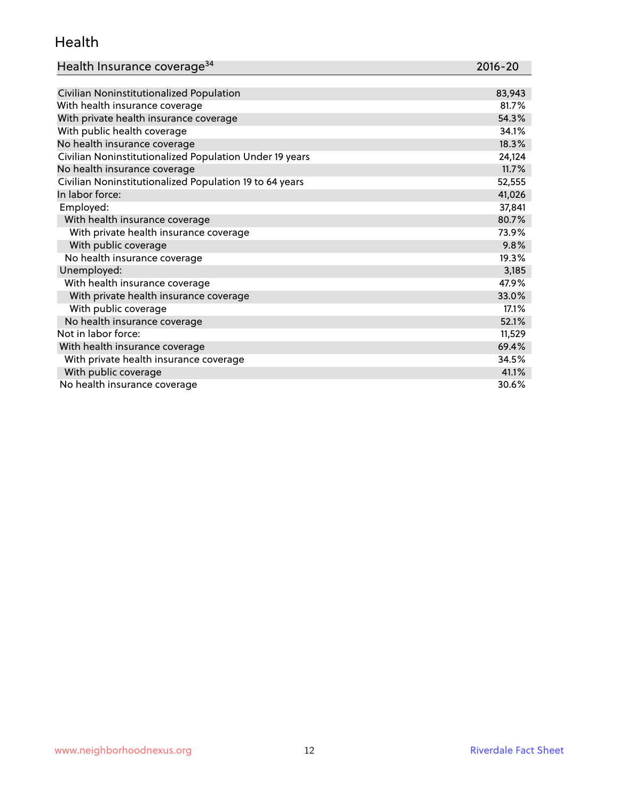#### Health

| Health Insurance coverage <sup>34</sup> | 2016-20 |
|-----------------------------------------|---------|
|-----------------------------------------|---------|

| Civilian Noninstitutionalized Population                | 83,943 |
|---------------------------------------------------------|--------|
| With health insurance coverage                          | 81.7%  |
| With private health insurance coverage                  | 54.3%  |
| With public health coverage                             | 34.1%  |
| No health insurance coverage                            | 18.3%  |
| Civilian Noninstitutionalized Population Under 19 years | 24,124 |
| No health insurance coverage                            | 11.7%  |
| Civilian Noninstitutionalized Population 19 to 64 years | 52,555 |
| In labor force:                                         | 41,026 |
| Employed:                                               | 37,841 |
| With health insurance coverage                          | 80.7%  |
| With private health insurance coverage                  | 73.9%  |
| With public coverage                                    | 9.8%   |
| No health insurance coverage                            | 19.3%  |
| Unemployed:                                             | 3,185  |
| With health insurance coverage                          | 47.9%  |
| With private health insurance coverage                  | 33.0%  |
| With public coverage                                    | 17.1%  |
| No health insurance coverage                            | 52.1%  |
| Not in labor force:                                     | 11,529 |
| With health insurance coverage                          | 69.4%  |
| With private health insurance coverage                  | 34.5%  |
| With public coverage                                    | 41.1%  |
| No health insurance coverage                            | 30.6%  |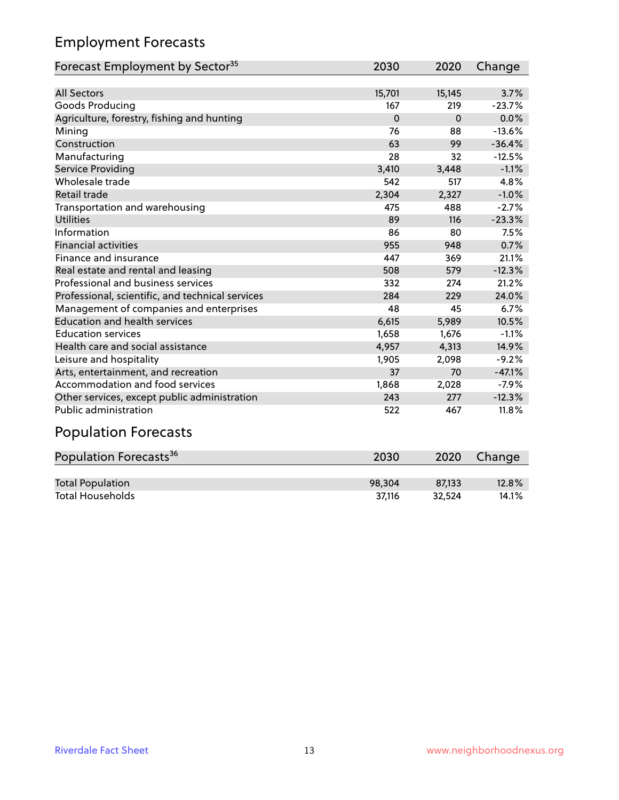## Employment Forecasts

| Forecast Employment by Sector <sup>35</sup>      | 2030     | 2020     | Change   |
|--------------------------------------------------|----------|----------|----------|
|                                                  |          |          |          |
| <b>All Sectors</b>                               | 15,701   | 15,145   | 3.7%     |
| Goods Producing                                  | 167      | 219      | $-23.7%$ |
| Agriculture, forestry, fishing and hunting       | $\Omega$ | $\Omega$ | 0.0%     |
| Mining                                           | 76       | 88       | $-13.6%$ |
| Construction                                     | 63       | 99       | $-36.4%$ |
| Manufacturing                                    | 28       | 32       | $-12.5%$ |
| <b>Service Providing</b>                         | 3,410    | 3,448    | $-1.1%$  |
| Wholesale trade                                  | 542      | 517      | 4.8%     |
| Retail trade                                     | 2,304    | 2,327    | $-1.0%$  |
| Transportation and warehousing                   | 475      | 488      | $-2.7%$  |
| <b>Utilities</b>                                 | 89       | 116      | $-23.3%$ |
| Information                                      | 86       | 80       | 7.5%     |
| <b>Financial activities</b>                      | 955      | 948      | 0.7%     |
| Finance and insurance                            | 447      | 369      | 21.1%    |
| Real estate and rental and leasing               | 508      | 579      | $-12.3%$ |
| Professional and business services               | 332      | 274      | 21.2%    |
| Professional, scientific, and technical services | 284      | 229      | 24.0%    |
| Management of companies and enterprises          | 48       | 45       | 6.7%     |
| <b>Education and health services</b>             | 6,615    | 5,989    | 10.5%    |
| <b>Education services</b>                        | 1,658    | 1,676    | $-1.1%$  |
| Health care and social assistance                | 4,957    | 4,313    | 14.9%    |
| Leisure and hospitality                          | 1,905    | 2,098    | $-9.2%$  |
| Arts, entertainment, and recreation              | 37       | 70       | $-47.1%$ |
| Accommodation and food services                  | 1,868    | 2,028    | $-7.9%$  |
| Other services, except public administration     | 243      | 277      | $-12.3%$ |
| Public administration                            | 522      | 467      | 11.8%    |
| Dopulation Eargepate                             |          |          |          |

#### Population Forecasts

| Population Forecasts <sup>36</sup> | 2030   | 2020   | Change |
|------------------------------------|--------|--------|--------|
|                                    |        |        |        |
| <b>Total Population</b>            | 98.304 | 87.133 | 12.8%  |
| <b>Total Households</b>            | 37.116 | 32.524 | 14.1%  |